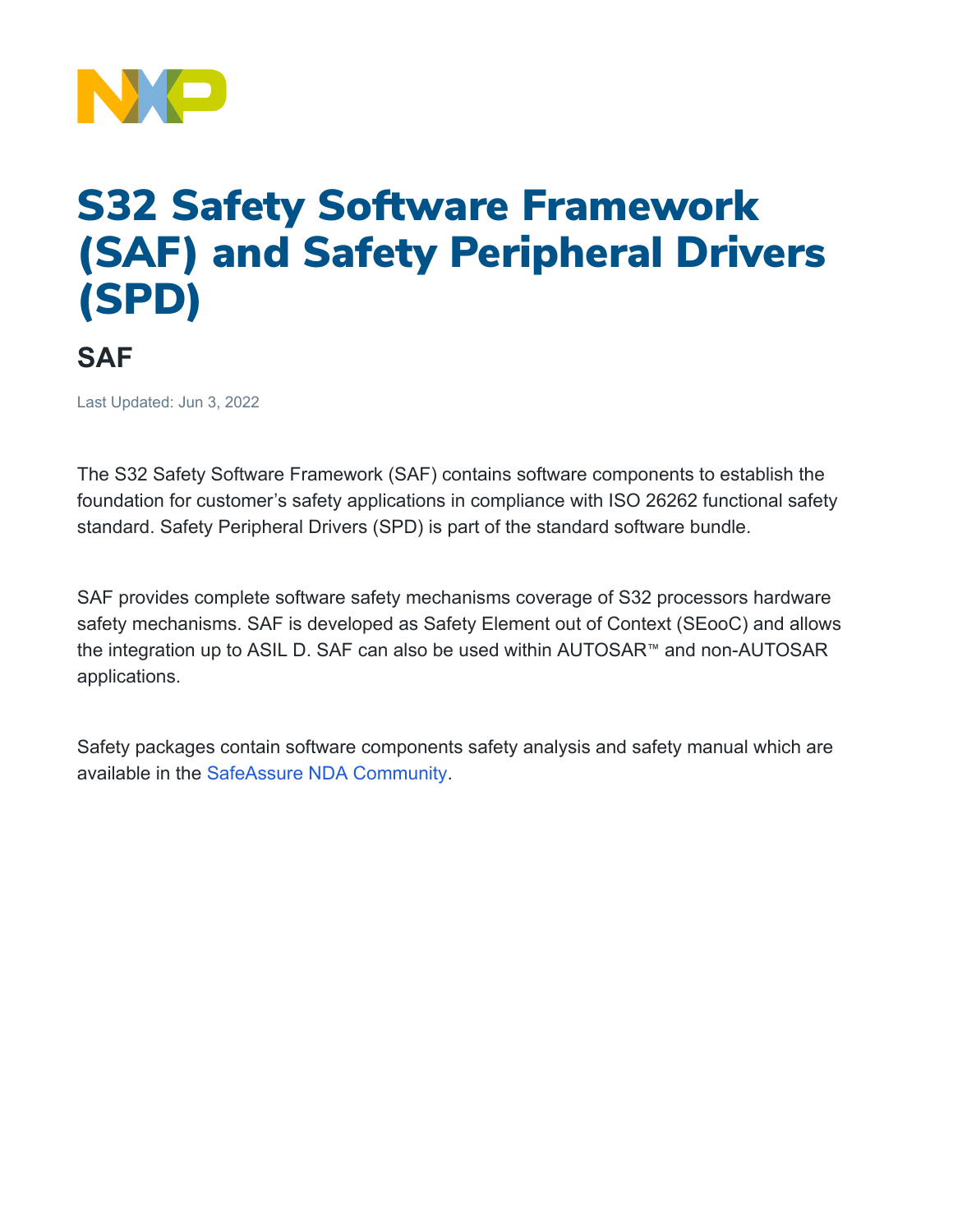

## S32 Safety Software Framework (SAF) and Safety Peripheral Drivers (SPD)

**SAF** 

Last Updated: Jun 3, 2022

The S32 Safety Software Framework (SAF) contains software components to establish the foundation for customer's safety applications in compliance with ISO 26262 functional safety standard. Safety Peripheral Drivers (SPD) is part of the standard software bundle.

SAF provides complete software safety mechanisms coverage of S32 processors hardware safety mechanisms. SAF is developed as Safety Element out of Context (SEooC) and allows the integration up to ASIL D. SAF can also be used within AUTOSAR™ and non-AUTOSAR applications.

Safety packages contain software components safety analysis and safety manual which are available in the [SafeAssure NDA Community.](https://community.nxp.com/t5/SafeAssure-NDA-group/gh-p/52177)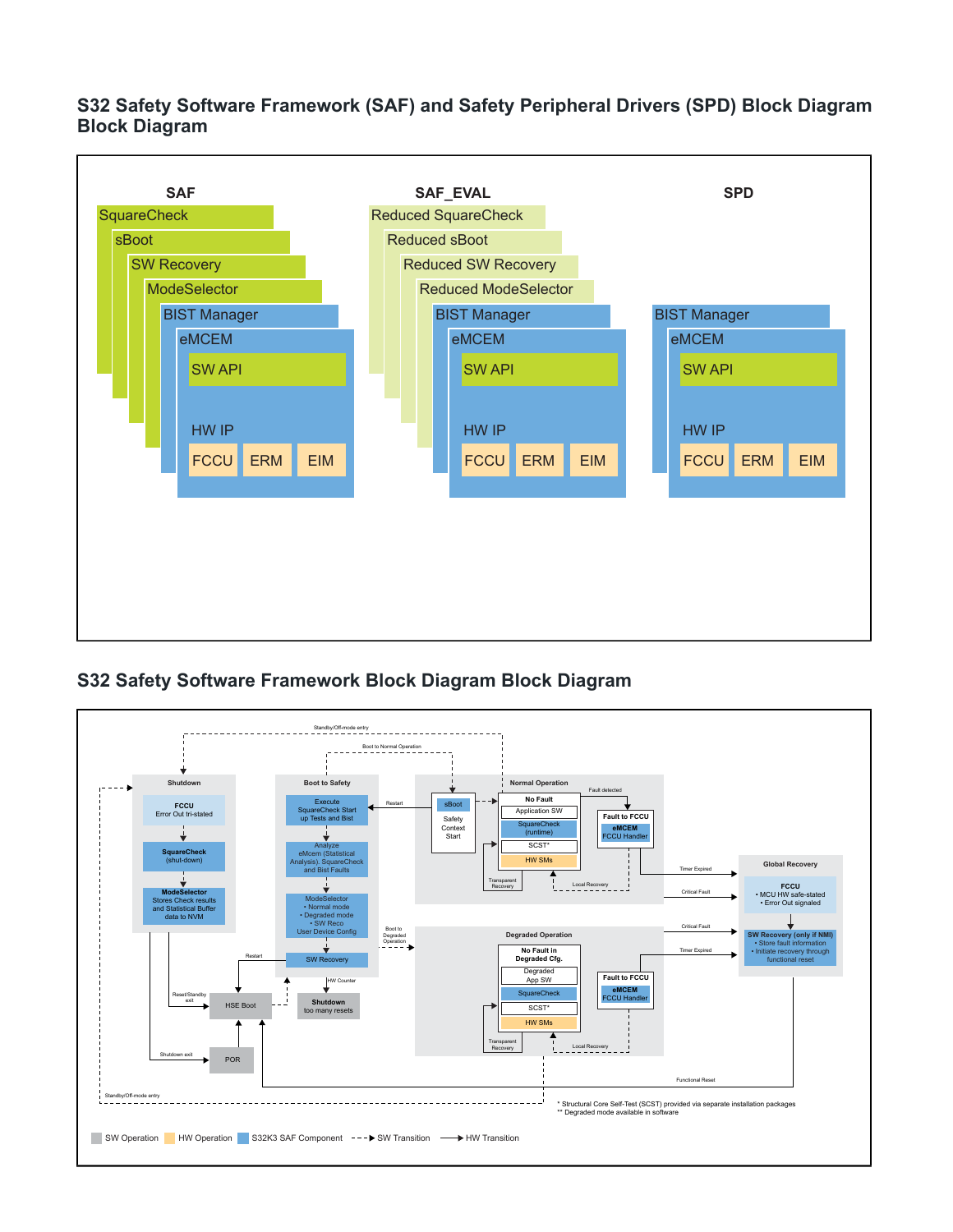**S32 Safety Software Framework (SAF) and Safety Peripheral Drivers (SPD) Block Diagram Block Diagram**



## **S32 Safety Software Framework Block Diagram Block Diagram**